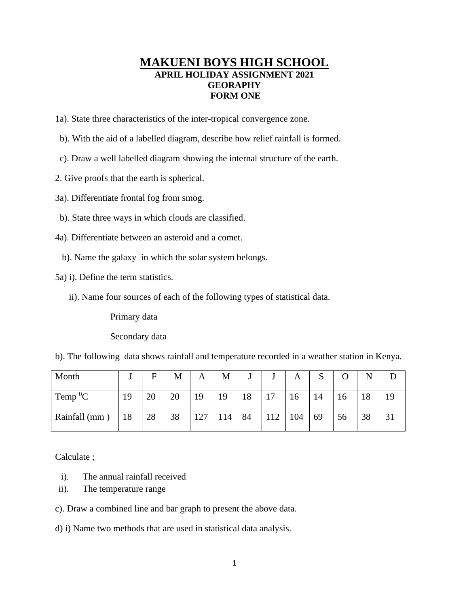## **MAKUENI BOYS HIGH SCHOOL APRIL HOLIDAY ASSIGNMENT 2021 GEORAPHY FORM ONE**

- 1a). State three characteristics of the inter-tropical convergence zone.
- b). With the aid of a labelled diagram, describe how relief rainfall is formed.
- c). Draw a well labelled diagram showing the internal structure of the earth.
- 2. Give proofs that the earth is spherical.
- 3a). Differentiate frontal fog from smog.
- b). State three ways in which clouds are classified.
- 4a). Differentiate between an asteroid and a comet.
	- b). Name the galaxy in which the solar system belongs.
- 5a) i). Define the term statistics.
	- ii). Name four sources of each of the following types of statistical data.

Primary data

Secondary data

b). The following data shows rainfall and temperature recorded in a weather station in Kenya.

| Month          |    | F  | M  | A   | М   |    |     | А   | P  |    |    |  |
|----------------|----|----|----|-----|-----|----|-----|-----|----|----|----|--|
| Temp ${}^{0}C$ | 19 | 20 | 20 | 19  | 19  | 18 | 17  | 16  | 14 | 16 | 18 |  |
| Rainfall (mm)  | 18 | 28 | 38 | 127 | 114 | 84 | 112 | 104 | 69 | 56 | 38 |  |

Calculate ;

- i). The annual rainfall received
- ii). The temperature range
- c). Draw a combined line and bar graph to present the above data.
- d) i) Name two methods that are used in statistical data analysis.